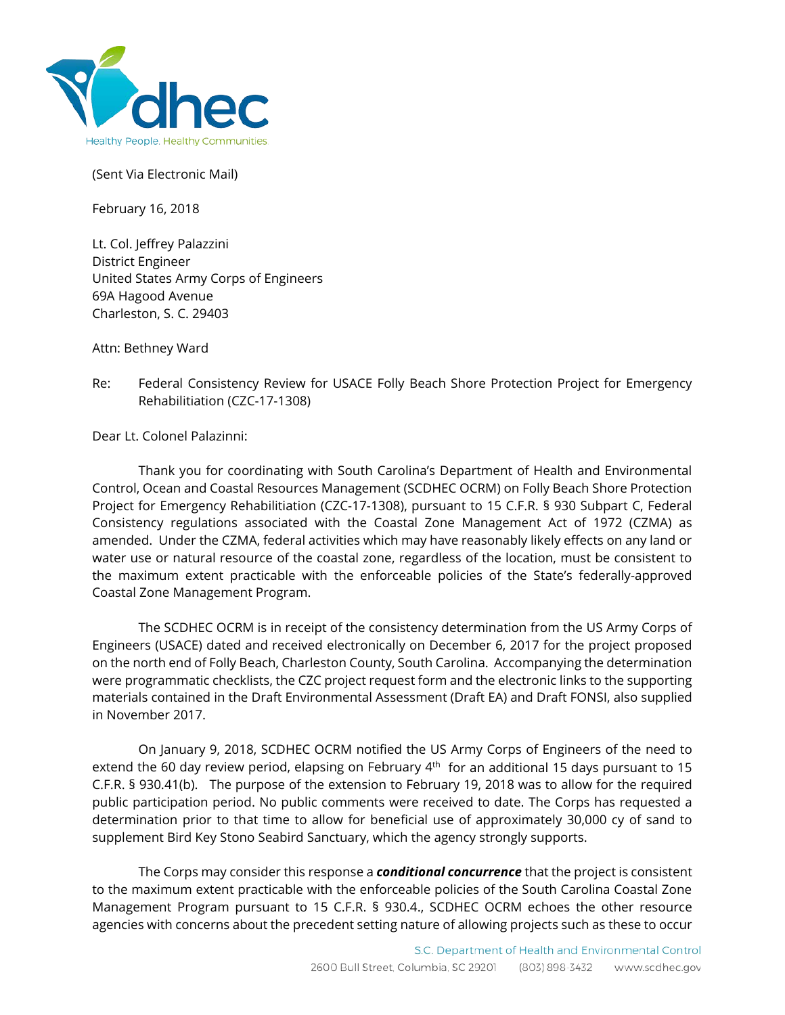

(Sent Via Electronic Mail)

February 16, 2018

Lt. Col. Jeffrey Palazzini District Engineer United States Army Corps of Engineers 69A Hagood Avenue Charleston, S. C. 29403

Attn: Bethney Ward

Re: Federal Consistency Review for USACE Folly Beach Shore Protection Project for Emergency Rehabilitiation (CZC-17-1308)

Dear Lt. Colonel Palazinni:

Thank you for coordinating with South Carolina's Department of Health and Environmental Control, Ocean and Coastal Resources Management (SCDHEC OCRM) on Folly Beach Shore Protection Project for Emergency Rehabilitiation (CZC-17-1308), pursuant to 15 C.F.R. § 930 Subpart C, Federal Consistency regulations associated with the Coastal Zone Management Act of 1972 (CZMA) as amended. Under the CZMA, federal activities which may have reasonably likely effects on any land or water use or natural resource of the coastal zone, regardless of the location, must be consistent to the maximum extent practicable with the enforceable policies of the State's federally-approved Coastal Zone Management Program.

The SCDHEC OCRM is in receipt of the consistency determination from the US Army Corps of Engineers (USACE) dated and received electronically on December 6, 2017 for the project proposed on the north end of Folly Beach, Charleston County, South Carolina. Accompanying the determination were programmatic checklists, the CZC project request form and the electronic links to the supporting materials contained in the Draft Environmental Assessment (Draft EA) and Draft FONSI, also supplied in November 2017.

On January 9, 2018, SCDHEC OCRM notified the US Army Corps of Engineers of the need to extend the 60 day review period, elapsing on February  $4<sup>th</sup>$  for an additional 15 days pursuant to 15 C.F.R. § 930.41(b). The purpose of the extension to February 19, 2018 was to allow for the required public participation period. No public comments were received to date. The Corps has requested a determination prior to that time to allow for beneficial use of approximately 30,000 cy of sand to supplement Bird Key Stono Seabird Sanctuary, which the agency strongly supports.

The Corps may consider this response a *conditional concurrence* that the project is consistent to the maximum extent practicable with the enforceable policies of the South Carolina Coastal Zone Management Program pursuant to 15 C.F.R. § 930.4., SCDHEC OCRM echoes the other resource agencies with concerns about the precedent setting nature of allowing projects such as these to occur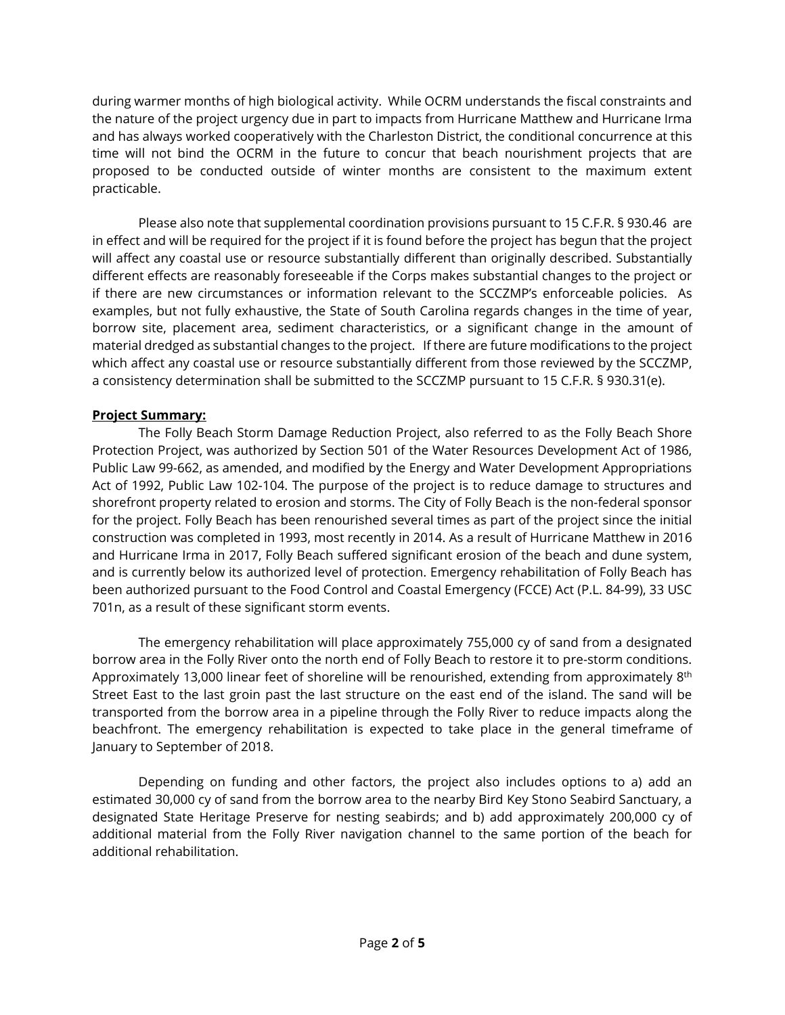during warmer months of high biological activity. While OCRM understands the fiscal constraints and the nature of the project urgency due in part to impacts from Hurricane Matthew and Hurricane Irma and has always worked cooperatively with the Charleston District, the conditional concurrence at this time will not bind the OCRM in the future to concur that beach nourishment projects that are proposed to be conducted outside of winter months are consistent to the maximum extent practicable.

Please also note that supplemental coordination provisions pursuant to 15 C.F.R. § 930.46 are in effect and will be required for the project if it is found before the project has begun that the project will affect any coastal use or resource substantially different than originally described. Substantially different effects are reasonably foreseeable if the Corps makes substantial changes to the project or if there are new circumstances or information relevant to the SCCZMP's enforceable policies. As examples, but not fully exhaustive, the State of South Carolina regards changes in the time of year, borrow site, placement area, sediment characteristics, or a significant change in the amount of material dredged as substantial changes to the project. If there are future modifications to the project which affect any coastal use or resource substantially different from those reviewed by the SCCZMP, a consistency determination shall be submitted to the SCCZMP pursuant to 15 C.F.R. § 930.31(e).

## **Project Summary:**

The Folly Beach Storm Damage Reduction Project, also referred to as the Folly Beach Shore Protection Project, was authorized by Section 501 of the Water Resources Development Act of 1986, Public Law 99-662, as amended, and modified by the Energy and Water Development Appropriations Act of 1992, Public Law 102-104. The purpose of the project is to reduce damage to structures and shorefront property related to erosion and storms. The City of Folly Beach is the non-federal sponsor for the project. Folly Beach has been renourished several times as part of the project since the initial construction was completed in 1993, most recently in 2014. As a result of Hurricane Matthew in 2016 and Hurricane Irma in 2017, Folly Beach suffered significant erosion of the beach and dune system, and is currently below its authorized level of protection. Emergency rehabilitation of Folly Beach has been authorized pursuant to the Food Control and Coastal Emergency (FCCE) Act (P.L. 84-99), 33 USC 701n, as a result of these significant storm events.

The emergency rehabilitation will place approximately 755,000 cy of sand from a designated borrow area in the Folly River onto the north end of Folly Beach to restore it to pre-storm conditions. Approximately 13,000 linear feet of shoreline will be renourished, extending from approximately 8<sup>th</sup> Street East to the last groin past the last structure on the east end of the island. The sand will be transported from the borrow area in a pipeline through the Folly River to reduce impacts along the beachfront. The emergency rehabilitation is expected to take place in the general timeframe of January to September of 2018.

Depending on funding and other factors, the project also includes options to a) add an estimated 30,000 cy of sand from the borrow area to the nearby Bird Key Stono Seabird Sanctuary, a designated State Heritage Preserve for nesting seabirds; and b) add approximately 200,000 cy of additional material from the Folly River navigation channel to the same portion of the beach for additional rehabilitation.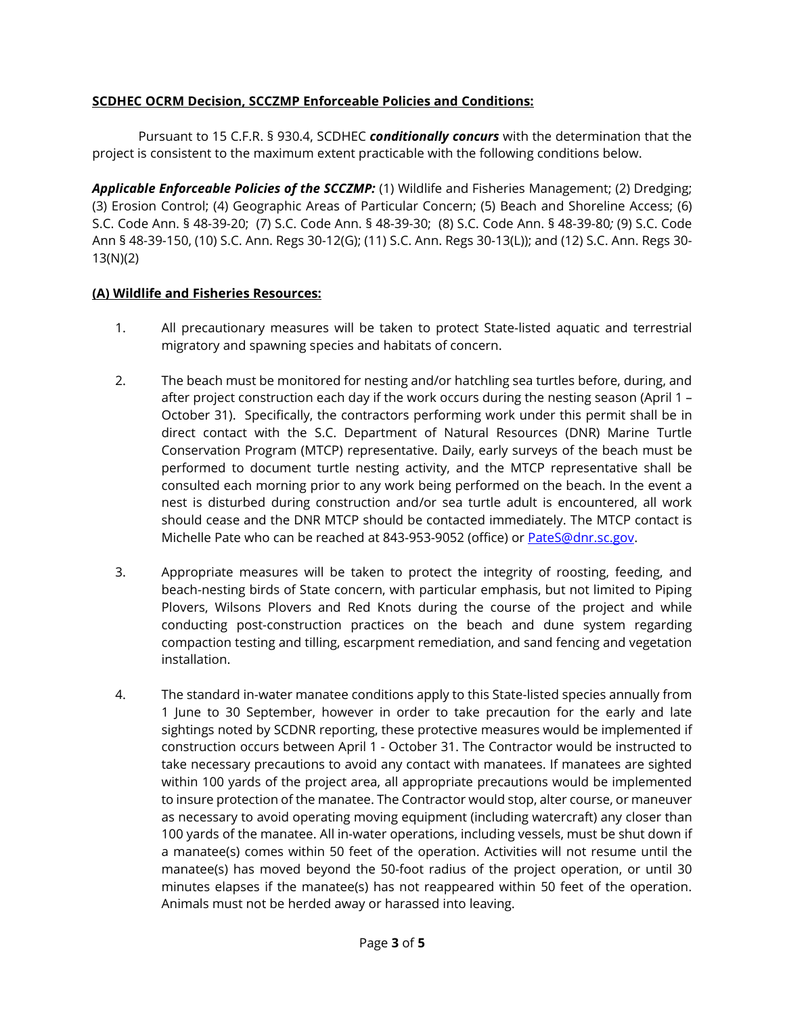## **SCDHEC OCRM Decision, SCCZMP Enforceable Policies and Conditions:**

Pursuant to 15 C.F.R. § 930.4, SCDHEC *conditionally concurs* with the determination that the project is consistent to the maximum extent practicable with the following conditions below.

*Applicable Enforceable Policies of the SCCZMP:* (1) Wildlife and Fisheries Management; (2) Dredging; (3) Erosion Control; (4) Geographic Areas of Particular Concern; (5) Beach and Shoreline Access; (6) S.C. Code Ann. § 48-39-20; (7) S.C. Code Ann. § 48-39-30; (8) S.C. Code Ann. § 48-39-80*;* (9) S.C. Code Ann § 48-39-150, (10) S.C. Ann. Regs 30-12(G); (11) S.C. Ann. Regs 30-13(L)); and (12) S.C. Ann. Regs 30- 13(N)(2)

#### **(A) Wildlife and Fisheries Resources:**

- 1. All precautionary measures will be taken to protect State-listed aquatic and terrestrial migratory and spawning species and habitats of concern.
- 2. The beach must be monitored for nesting and/or hatchling sea turtles before, during, and after project construction each day if the work occurs during the nesting season (April 1 – October 31). Specifically, the contractors performing work under this permit shall be in direct contact with the S.C. Department of Natural Resources (DNR) Marine Turtle Conservation Program (MTCP) representative. Daily, early surveys of the beach must be performed to document turtle nesting activity, and the MTCP representative shall be consulted each morning prior to any work being performed on the beach. In the event a nest is disturbed during construction and/or sea turtle adult is encountered, all work should cease and the DNR MTCP should be contacted immediately. The MTCP contact is Michelle Pate who can be reached at 843-953-9052 (office) or PateS@dnr.sc.gov.
- 3. Appropriate measures will be taken to protect the integrity of roosting, feeding, and beach-nesting birds of State concern, with particular emphasis, but not limited to Piping Plovers, Wilsons Plovers and Red Knots during the course of the project and while conducting post-construction practices on the beach and dune system regarding compaction testing and tilling, escarpment remediation, and sand fencing and vegetation installation.
- 4. The standard in-water manatee conditions apply to this State-listed species annually from 1 June to 30 September, however in order to take precaution for the early and late sightings noted by SCDNR reporting, these protective measures would be implemented if construction occurs between April 1 - October 31. The Contractor would be instructed to take necessary precautions to avoid any contact with manatees. If manatees are sighted within 100 yards of the project area, all appropriate precautions would be implemented to insure protection of the manatee. The Contractor would stop, alter course, or maneuver as necessary to avoid operating moving equipment (including watercraft) any closer than 100 yards of the manatee. All in-water operations, including vessels, must be shut down if a manatee(s) comes within 50 feet of the operation. Activities will not resume until the manatee(s) has moved beyond the 50-foot radius of the project operation, or until 30 minutes elapses if the manatee(s) has not reappeared within 50 feet of the operation. Animals must not be herded away or harassed into leaving.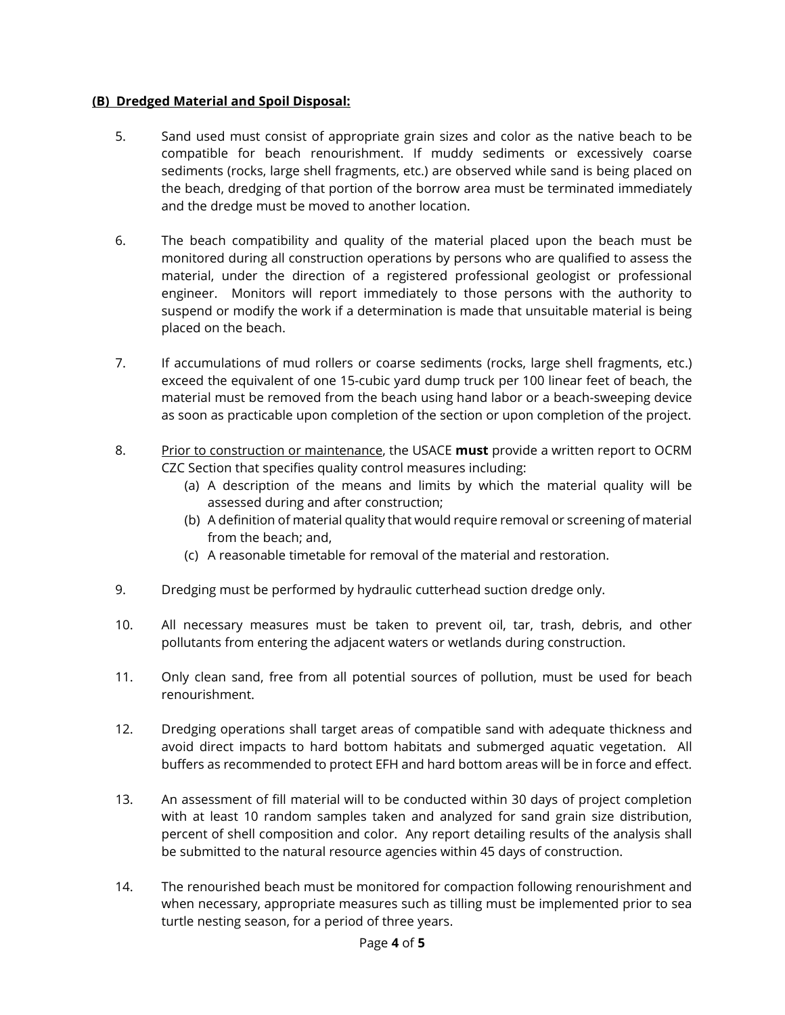#### **(B) Dredged Material and Spoil Disposal:**

- 5. Sand used must consist of appropriate grain sizes and color as the native beach to be compatible for beach renourishment. If muddy sediments or excessively coarse sediments (rocks, large shell fragments, etc.) are observed while sand is being placed on the beach, dredging of that portion of the borrow area must be terminated immediately and the dredge must be moved to another location.
- 6. The beach compatibility and quality of the material placed upon the beach must be monitored during all construction operations by persons who are qualified to assess the material, under the direction of a registered professional geologist or professional engineer. Monitors will report immediately to those persons with the authority to suspend or modify the work if a determination is made that unsuitable material is being placed on the beach.
- 7. If accumulations of mud rollers or coarse sediments (rocks, large shell fragments, etc.) exceed the equivalent of one 15-cubic yard dump truck per 100 linear feet of beach, the material must be removed from the beach using hand labor or a beach-sweeping device as soon as practicable upon completion of the section or upon completion of the project.
- 8. Prior to construction or maintenance, the USACE **must** provide a written report to OCRM CZC Section that specifies quality control measures including:
	- (a) A description of the means and limits by which the material quality will be assessed during and after construction;
	- (b) A definition of material quality that would require removal or screening of material from the beach; and,
	- (c) A reasonable timetable for removal of the material and restoration.
- 9. Dredging must be performed by hydraulic cutterhead suction dredge only.
- 10. All necessary measures must be taken to prevent oil, tar, trash, debris, and other pollutants from entering the adjacent waters or wetlands during construction.
- 11. Only clean sand, free from all potential sources of pollution, must be used for beach renourishment.
- 12. Dredging operations shall target areas of compatible sand with adequate thickness and avoid direct impacts to hard bottom habitats and submerged aquatic vegetation. All buffers as recommended to protect EFH and hard bottom areas will be in force and effect.
- 13. An assessment of fill material will to be conducted within 30 days of project completion with at least 10 random samples taken and analyzed for sand grain size distribution, percent of shell composition and color. Any report detailing results of the analysis shall be submitted to the natural resource agencies within 45 days of construction.
- 14. The renourished beach must be monitored for compaction following renourishment and when necessary, appropriate measures such as tilling must be implemented prior to sea turtle nesting season, for a period of three years.